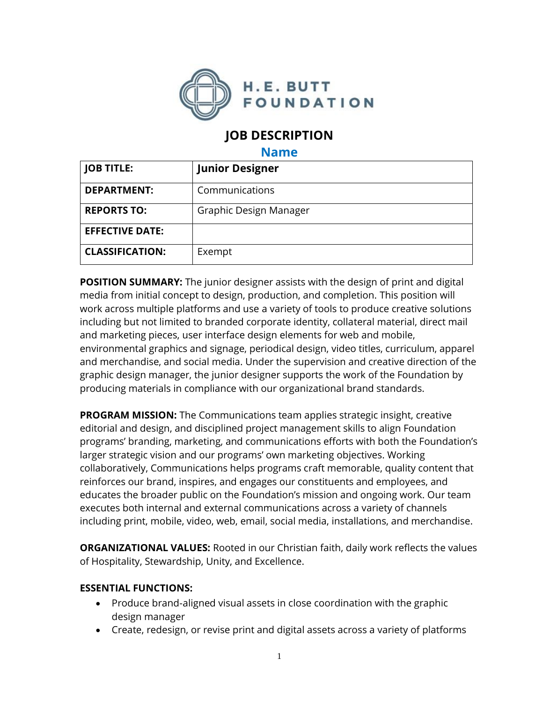

# **JOB DESCRIPTION**

#### **Name**

| <b>JOB TITLE:</b>      | <b>Junior Designer</b> |
|------------------------|------------------------|
| <b>DEPARTMENT:</b>     | Communications         |
| <b>REPORTS TO:</b>     | Graphic Design Manager |
| <b>EFFECTIVE DATE:</b> |                        |
| <b>CLASSIFICATION:</b> | Exempt                 |

**POSITION SUMMARY:** The junior designer assists with the design of print and digital media from initial concept to design, production, and completion. This position will work across multiple platforms and use a variety of tools to produce creative solutions including but not limited to branded corporate identity, collateral material, direct mail and marketing pieces, user interface design elements for web and mobile, environmental graphics and signage, periodical design, video titles, curriculum, apparel and merchandise, and social media. Under the supervision and creative direction of the graphic design manager, the junior designer supports the work of the Foundation by producing materials in compliance with our organizational brand standards.

**PROGRAM MISSION:** The Communications team applies strategic insight, creative editorial and design, and disciplined project management skills to align Foundation programs' branding, marketing, and communications efforts with both the Foundation's larger strategic vision and our programs' own marketing objectives. Working collaboratively, Communications helps programs craft memorable, quality content that reinforces our brand, inspires, and engages our constituents and employees, and educates the broader public on the Foundation's mission and ongoing work. Our team executes both internal and external communications across a variety of channels including print, mobile, video, web, email, social media, installations, and merchandise.

**ORGANIZATIONAL VALUES:** Rooted in our Christian faith, daily work reflects the values of Hospitality, Stewardship, Unity, and Excellence.

### **ESSENTIAL FUNCTIONS:**

- Produce brand-aligned visual assets in close coordination with the graphic design manager
- Create, redesign, or revise print and digital assets across a variety of platforms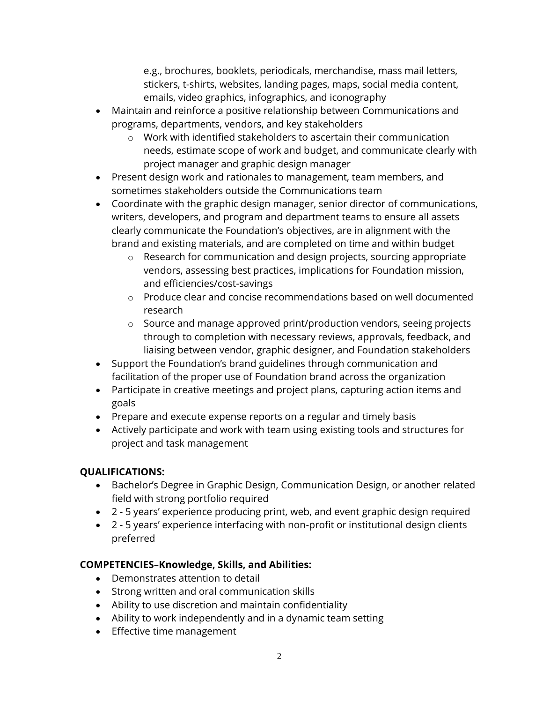e.g., brochures, booklets, periodicals, merchandise, mass mail letters, stickers, t-shirts, websites, landing pages, maps, social media content, emails, video graphics, infographics, and iconography

- Maintain and reinforce a positive relationship between Communications and programs, departments, vendors, and key stakeholders
	- o Work with identified stakeholders to ascertain their communication needs, estimate scope of work and budget, and communicate clearly with project manager and graphic design manager
- Present design work and rationales to management, team members, and sometimes stakeholders outside the Communications team
- Coordinate with the graphic design manager, senior director of communications, writers, developers, and program and department teams to ensure all assets clearly communicate the Foundation's objectives, are in alignment with the brand and existing materials, and are completed on time and within budget
	- o Research for communication and design projects, sourcing appropriate vendors, assessing best practices, implications for Foundation mission, and efficiencies/cost-savings
	- $\circ$  Produce clear and concise recommendations based on well documented research
	- o Source and manage approved print/production vendors, seeing projects through to completion with necessary reviews, approvals, feedback, and liaising between vendor, graphic designer, and Foundation stakeholders
- Support the Foundation's brand guidelines through communication and facilitation of the proper use of Foundation brand across the organization
- Participate in creative meetings and project plans, capturing action items and goals
- Prepare and execute expense reports on a regular and timely basis
- Actively participate and work with team using existing tools and structures for project and task management

## **QUALIFICATIONS:**

- Bachelor's Degree in Graphic Design, Communication Design, or another related field with strong portfolio required
- 2 5 years' experience producing print, web, and event graphic design required
- 2 5 years' experience interfacing with non-profit or institutional design clients preferred

### **COMPETENCIES–Knowledge, Skills, and Abilities:**

- Demonstrates attention to detail
- Strong written and oral communication skills
- Ability to use discretion and maintain confidentiality
- Ability to work independently and in a dynamic team setting
- Effective time management